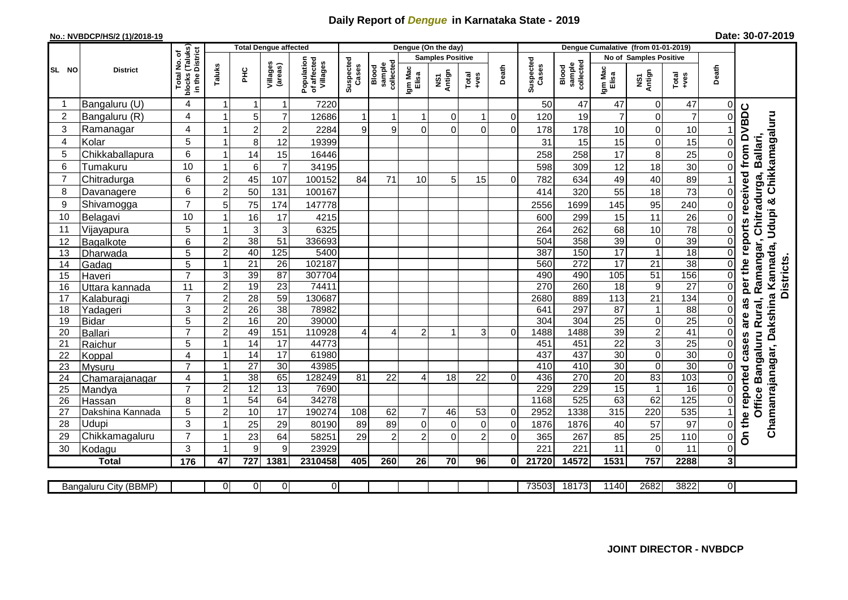## **Daily Report of** *Dengue* **in Karnataka State - 2019**

## **No.: NVBDCP/HS/2 (1)/2018-19**

| Date: 30-07-2019 |  |  |  |
|------------------|--|--|--|
|------------------|--|--|--|

|                         |                                |                                                        |                           | <b>Total Dengue affected</b> |                       |                                       | Dengue (On the day) |                              |                  |                         |                | Dengue Cumalative (from 01-01-2019) |                    |                              |                                    |                   |                        |                               |                                                                  |                                                                           |  |
|-------------------------|--------------------------------|--------------------------------------------------------|---------------------------|------------------------------|-----------------------|---------------------------------------|---------------------|------------------------------|------------------|-------------------------|----------------|-------------------------------------|--------------------|------------------------------|------------------------------------|-------------------|------------------------|-------------------------------|------------------------------------------------------------------|---------------------------------------------------------------------------|--|
|                         |                                |                                                        |                           |                              |                       |                                       |                     |                              |                  | <b>Samples Positive</b> |                |                                     |                    |                              | <b>No of Samples Positive</b>      |                   |                        |                               |                                                                  |                                                                           |  |
| SL NO                   | <b>District</b>                | Total No. of<br>  blocks (Taluks)<br>  in the District | Taluks                    | ᆂ                            | Villages<br>(areas)   | Population<br>of affected<br>Villages | Suspected<br>Cases  | collected<br>sample<br>Blood | Igm Mac<br>Elisa | NS1<br>Antign           | Total<br>+ves  | Death                               | Suspected<br>Cases | sample<br>collected<br>Blood | Igm Mac<br>Elisa                   | NS1<br>Antign     | Total<br>+ves          | Death                         |                                                                  |                                                                           |  |
| $\overline{1}$          | Bangaluru (U)                  | $\overline{\mathbf{4}}$                                | $\mathbf 1$               | -1                           | $\mathbf 1$           | 7220                                  |                     |                              |                  |                         |                |                                     | 50                 | 47                           | 47                                 | $\mathbf 0$       | 47                     | 0                             |                                                                  |                                                                           |  |
| $\overline{2}$          | Bangaluru (R)                  | 4                                                      | $\overline{1}$            | 5                            | $\overline{7}$        | 12686                                 | $\mathbf{1}$        | -1                           | $\mathbf{1}$     | $\overline{0}$          | $\mathbf{1}$   | $\mathbf 0$                         | 120                | 19                           | $\overline{7}$                     | $\mathbf 0$       | $\overline{7}$         | $\mathbf 0$                   |                                                                  |                                                                           |  |
| 3                       | Ramanagar                      | $\overline{4}$                                         | 1                         | $\overline{2}$               | $\overline{c}$        | 2284                                  | 9                   | 9                            | $\Omega$         | $\Omega$                | $\mathbf 0$    | $\Omega$                            | 178                | 178                          | 10                                 | $\mathbf 0$       | 10                     |                               |                                                                  |                                                                           |  |
| $\overline{\mathbf{4}}$ | Kolar                          | 5                                                      | $\overline{1}$            | 8                            | 12                    | 19399                                 |                     |                              |                  |                         |                |                                     | 31                 | 15                           | 15                                 | $\mathbf 0$       | 15                     | $\mathbf 0$                   |                                                                  |                                                                           |  |
| 5                       | Chikkaballapura                | 6                                                      | $\mathbf{1}$              | 14                           | 15                    | 16446                                 |                     |                              |                  |                         |                |                                     | 258                | 258                          | 17                                 | 8                 | 25                     | $\overline{0}$                |                                                                  | Ballari,                                                                  |  |
| 6                       | Tumakuru                       | 10                                                     | $\overline{1}$            | $\,6$                        | $\overline{7}$        | 34195                                 |                     |                              |                  |                         |                |                                     | 598                | 309                          | 12                                 | 18                | 30                     | $\overline{0}$                |                                                                  |                                                                           |  |
| $\overline{7}$          | Chitradurga                    | $6\phantom{a}$                                         | $\overline{2}$            | 45                           | 107                   | 100152                                | 84                  | 71                           | 10               | 5                       | 15             | $\mathbf 0$                         | 782                | 634                          | 49                                 | 40                | 89                     |                               |                                                                  |                                                                           |  |
| 8                       | Davanagere                     | 6                                                      | $\overline{c}$            | 50                           | 131                   | 100167                                |                     |                              |                  |                         |                |                                     | 414                | 320                          | 55                                 | 18                | 73                     | $\mathbf 0$                   |                                                                  |                                                                           |  |
| 9                       | Shivamogga                     | $\overline{7}$                                         | 5                         | 75                           | 174                   | 147778                                |                     |                              |                  |                         |                |                                     | 2556               | 1699                         | 145                                | 95                | 240                    | $\mathsf 0$                   | On the reported cases are as per the reports received from DVBDC | Chamanrajanagar, Dakshina Kannada, Udupi & Chikkamagaluru<br>Chitradurga, |  |
| 10                      | Belagavi                       | 10                                                     | $\overline{1}$            | 16                           | 17                    | 4215                                  |                     |                              |                  |                         |                |                                     | 600                | 299                          | 15                                 | 11                | 26                     | $\mathbf 0$                   |                                                                  |                                                                           |  |
| 11                      | Vijayapura                     | 5                                                      | $\overline{1}$            | 3                            | 3                     | 6325                                  |                     |                              |                  |                         |                |                                     | 264                | 262                          | 68                                 | 10                | 78                     | $\mathsf{O}\xspace$           |                                                                  |                                                                           |  |
| 12                      | Bagalkote                      | 6                                                      | $\overline{c}$            | $\overline{38}$              | 51                    | 336693                                |                     |                              |                  |                         |                |                                     | 504                | 358                          | 39                                 | $\mathbf 0$       | 39                     | $\overline{0}$                |                                                                  |                                                                           |  |
| 13                      | Dharwada                       | $\overline{5}$                                         | $\overline{2}$            | 40                           | 125                   | 5400                                  |                     |                              |                  |                         |                |                                     | 387                | 150                          | $\overline{17}$                    | $\mathbf{1}$      | 18                     | $\overline{0}$                |                                                                  | Office Bangaluru Rural, Ramangar,                                         |  |
| 14                      | Gadag                          | $\overline{5}$                                         | $\overline{1}$            | 21                           | $\overline{26}$       | 102187                                |                     |                              |                  |                         |                |                                     | 560                | $\overline{272}$             | 17                                 | 21                | $\overline{38}$        | $\overline{0}$                |                                                                  | Districts.                                                                |  |
| 15                      | Haveri                         | $\overline{7}$                                         | $\ensuremath{\mathsf{3}}$ | 39                           | $\overline{87}$       | 307704                                |                     |                              |                  |                         |                |                                     | 490                | 490                          | 105                                | 51                | 156                    | $\overline{0}$                |                                                                  |                                                                           |  |
| 16                      | Uttara kannada                 | $\overline{11}$                                        | $\overline{2}$            | 19                           | $\overline{23}$       | 74411                                 |                     |                              |                  |                         |                |                                     | 270                | 260                          | $\overline{18}$                    | 9                 | $\overline{27}$        | $\overline{0}$                |                                                                  |                                                                           |  |
| 17                      | Kalaburagi                     | $\overline{7}$                                         | $\overline{c}$            | $\overline{28}$              | 59                    | 130687                                |                     |                              |                  |                         |                |                                     | 2680               | 889                          | 113                                | $\overline{21}$   | 134                    | $\overline{\mathsf{o}}$       |                                                                  |                                                                           |  |
| 18                      | Yadageri                       | 3                                                      | $\overline{c}$            | 26                           | 38                    | 78982                                 |                     |                              |                  |                         |                |                                     | 641                | 297                          | 87                                 | $\mathbf{1}$      | 88                     | $\overline{0}$                |                                                                  |                                                                           |  |
| $\overline{19}$         | <b>Bidar</b>                   | $\overline{5}$                                         | $\overline{2}$            | 16                           | $\overline{20}$       | 39000                                 |                     |                              |                  |                         |                |                                     | 304                | 304                          | $\overline{25}$                    | $\overline{0}$    | $\overline{25}$        | $\overline{0}$                |                                                                  |                                                                           |  |
| 20                      | Ballari                        | $\overline{7}$                                         | $\overline{2}$            | 49                           | 151                   | 110928                                | 4                   | 4                            | $\overline{c}$   |                         | 3              | 0                                   | 1488               | 1488                         | 39                                 | $\overline{2}$    | $\overline{41}$        | O                             |                                                                  |                                                                           |  |
| 21                      | Raichur                        | 5                                                      | $\mathbf{1}$              | 14                           | 17                    | 44773                                 |                     |                              |                  |                         |                |                                     | 451                | 451                          | $\overline{22}$                    | $\sqrt{3}$        | $\overline{25}$        | $\overline{0}$                |                                                                  |                                                                           |  |
| 22                      | Koppal                         | $\overline{4}$                                         | $\overline{1}$            | $\overline{14}$              | 17                    | 61980                                 |                     |                              |                  |                         |                |                                     | 437                | 437                          | $\overline{30}$                    | $\mathbf 0$       | 30                     | $\overline{0}$                |                                                                  |                                                                           |  |
| 23                      | Mysuru                         | $\overline{7}$<br>$\overline{\mathbf{4}}$              | $\overline{1}$<br>1       | $\overline{27}$              | $\overline{30}$<br>65 | 43985<br>128249                       |                     | 22                           |                  |                         | 22             |                                     | 410<br>436         | 410<br>270                   | $\overline{30}$<br>$\overline{20}$ | $\mathbf 0$<br>83 | $\overline{30}$<br>103 | $\mathbf 0$<br>$\overline{0}$ |                                                                  |                                                                           |  |
| 24<br>25                | Chamarajanagar<br>Mandya       | $\overline{7}$                                         | $\overline{c}$            | 38<br>$\overline{12}$        | $\overline{13}$       | 7690                                  | 81                  |                              | 4                | 18                      |                | $\mathbf 0$                         | 229                | 229                          | 15                                 | $\overline{1}$    | 16                     | $\overline{0}$                |                                                                  |                                                                           |  |
| 26                      | Hassan                         | 8                                                      | $\overline{1}$            | 54                           | 64                    | 34278                                 |                     |                              |                  |                         |                |                                     | 1168               | 525                          | 63                                 | 62                | 125                    | $\overline{0}$                |                                                                  |                                                                           |  |
| 27                      | Dakshina Kannada               | 5                                                      | $\overline{c}$            | 10                           | $\overline{17}$       | 190274                                | 108                 | 62                           | $\overline{7}$   | 46                      | 53             | $\mathbf 0$                         | 2952               | 1338                         | 315                                | 220               | 535                    |                               |                                                                  |                                                                           |  |
| 28                      | Udupi                          | 3                                                      | $\overline{\mathbf{1}}$   | 25                           | 29                    | 80190                                 | 89                  | 89                           | $\overline{0}$   | $\Omega$                | $\mathbf 0$    | $\mathbf 0$                         | 1876               | 1876                         | 40                                 | 57                | 97                     | $\mathsf 0$                   |                                                                  |                                                                           |  |
| 29                      | Chikkamagaluru                 | $\overline{7}$                                         | $\overline{1}$            | 23                           | 64                    | 58251                                 | 29                  | $\overline{2}$               | $\overline{2}$   | $\overline{0}$          | $\overline{2}$ | $\Omega$                            | 365                | 267                          | 85                                 | 25                | 110                    | $\overline{0}$                |                                                                  |                                                                           |  |
| 30                      | Kodagu                         | 3                                                      | $\overline{1}$            | 9                            | 9                     | 23929                                 |                     |                              |                  |                         |                |                                     | 221                | 221                          | 11                                 | $\mathbf 0$       | 11                     | 0                             |                                                                  |                                                                           |  |
|                         | <b>Total</b>                   | 176                                                    | $\overline{47}$           | 727                          | 1381                  | 2310458                               | 405                 | 260                          | 26               | 70                      | 96             | 0                                   | 21720              | 14572                        | 1531                               | 757               | 2288                   | $\overline{3}$                |                                                                  |                                                                           |  |
|                         |                                |                                                        |                           |                              |                       |                                       |                     |                              |                  |                         |                |                                     |                    |                              |                                    |                   |                        |                               |                                                                  |                                                                           |  |
|                         | Bangaluru City (BBMP)          |                                                        | 0                         | $\overline{0}$               | 0                     | $\overline{0}$                        |                     |                              |                  |                         |                |                                     | 73503              | 18173                        | 1140                               | 2682              | 3822                   | $\overline{0}$                |                                                                  |                                                                           |  |
|                         | <b>JOINT DIRECTOR - NVBDCP</b> |                                                        |                           |                              |                       |                                       |                     |                              |                  |                         |                |                                     |                    |                              |                                    |                   |                        |                               |                                                                  |                                                                           |  |